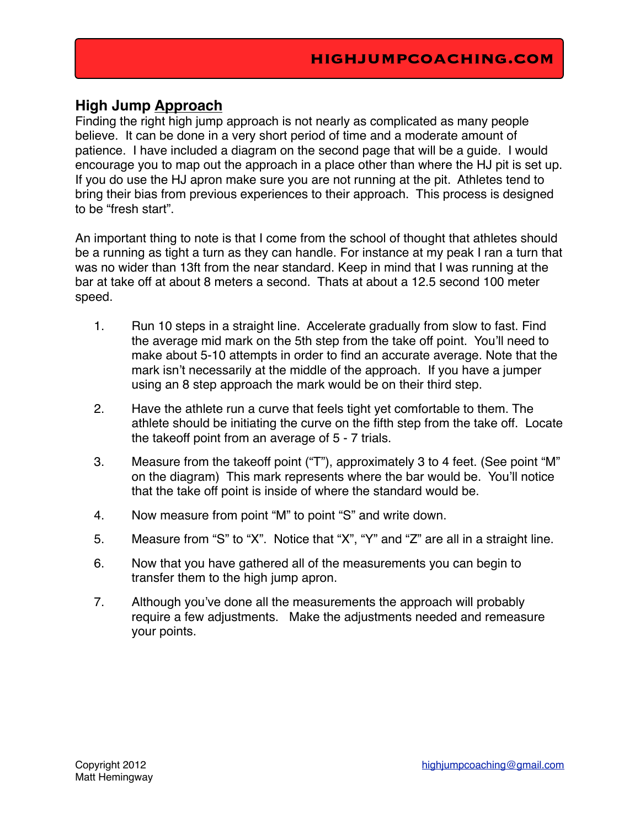## **High Jump Approach**

Finding the right high jump approach is not nearly as complicated as many people believe. It can be done in a very short period of time and a moderate amount of patience. I have included a diagram on the second page that will be a guide. I would encourage you to map out the approach in a place other than where the HJ pit is set up. If you do use the HJ apron make sure you are not running at the pit. Athletes tend to bring their bias from previous experiences to their approach. This process is designed to be "fresh start".

An important thing to note is that I come from the school of thought that athletes should be a running as tight a turn as they can handle. For instance at my peak I ran a turn that was no wider than 13ft from the near standard. Keep in mind that I was running at the bar at take off at about 8 meters a second. Thats at about a 12.5 second 100 meter speed.

- 1. Run 10 steps in a straight line. Accelerate gradually from slow to fast. Find the average mid mark on the 5th step from the take off point. You'll need to make about 5-10 attempts in order to find an accurate average. Note that the mark isn't necessarily at the middle of the approach. If you have a jumper using an 8 step approach the mark would be on their third step.
- 2. Have the athlete run a curve that feels tight yet comfortable to them. The athlete should be initiating the curve on the fifth step from the take off. Locate the takeoff point from an average of 5 - 7 trials.
- 3. Measure from the takeoff point ("T"), approximately 3 to 4 feet. (See point "M" on the diagram) This mark represents where the bar would be. You'll notice that the take off point is inside of where the standard would be.
- 4. Now measure from point "M" to point "S" and write down.
- 5. Measure from "S" to "X". Notice that "X", "Y" and "Z" are all in a straight line.
- 6. Now that you have gathered all of the measurements you can begin to transfer them to the high jump apron.
- 7. Although you've done all the measurements the approach will probably require a few adjustments. Make the adjustments needed and remeasure your points.